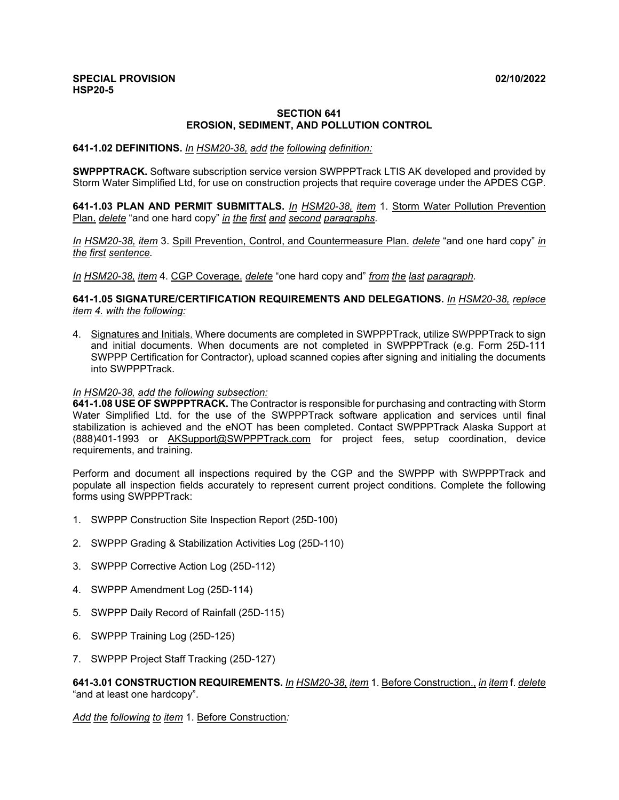## **SECTION 641 EROSION, SEDIMENT, AND POLLUTION CONTROL**

## **641-1.02 DEFINITIONS.** *In HSM20-38, add the following definition:*

**SWPPPTRACK.** Software subscription service version SWPPPTrack LTIS AK developed and provided by Storm Water Simplified Ltd, for use on construction projects that require coverage under the APDES CGP.

**641-1.03 PLAN AND PERMIT SUBMITTALS.** *In HSM20-38, item* 1. Storm Water Pollution Prevention Plan. *delete* "and one hard copy" *in the first and second paragraphs.* 

*In HSM20-38, item* 3. Spill Prevention, Control, and Countermeasure Plan. *delete* "and one hard copy" *in the first sentence.* 

*In HSM20-38, item* 4. CGP Coverage. *delete* "one hard copy and" *from the last paragraph.* 

**641-1.05 SIGNATURE/CERTIFICATION REQUIREMENTS AND DELEGATIONS.** *In HSM20-38, replace item 4. with the following:* 

4. Signatures and Initials. Where documents are completed in SWPPPTrack, utilize SWPPPTrack to sign and initial documents. When documents are not completed in SWPPPTrack (e.g. Form 25D-111 SWPPP Certification for Contractor), upload scanned copies after signing and initialing the documents into SWPPPTrack.

## *In HSM20-38, add the following subsection:*

**641-1.08 USE OF SWPPPTRACK.** The Contractor is responsible for purchasing and contracting with Storm Water Simplified Ltd. for the use of the SWPPPTrack software application and services until final stabilization is achieved and the eNOT has been completed. Contact SWPPPTrack Alaska Support at (888)401-1993 or AKSupport@SWPPPTrack.com for project fees, setup coordination, device requirements, and training.

Perform and document all inspections required by the CGP and the SWPPP with SWPPPTrack and populate all inspection fields accurately to represent current project conditions. Complete the following forms using SWPPPTrack:

- 1. SWPPP Construction Site Inspection Report (25D-100)
- 2. SWPPP Grading & Stabilization Activities Log (25D-110)
- 3. SWPPP Corrective Action Log (25D-112)
- 4. SWPPP Amendment Log (25D-114)
- 5. SWPPP Daily Record of Rainfall (25D-115)
- 6. SWPPP Training Log (25D-125)
- 7. SWPPP Project Staff Tracking (25D-127)

## **641-3.01 CONSTRUCTION REQUIREMENTS.** *In HSM20-38, item* 1. Before Construction., *in item* f. *delete*  "and at least one hardcopy".

*Add the following to item* 1. Before Construction*:*